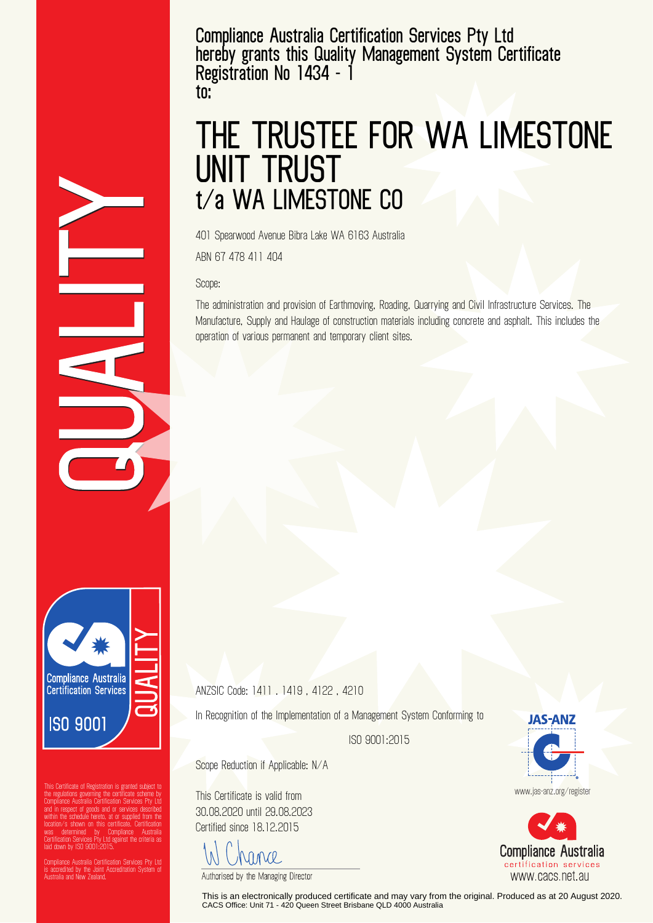**Compliance Australia Certification Services Pty Ltd hereby grants this Quality Management System Certificate Registration No 1434 - 1 to:**

## **THE TRUSTEE FOR WA LIMESTONE UNIT TRUST t/a WA LIMESTONE CO**

401 Spearwood Avenue Bibra Lake WA 6163 Australia

ABN 67 478 411 404

Scope:

The administration and provision of Earthmoving, Roading, Quarrying and Civil Infrastructure Services. The Manufacture, Supply and Haulage of construction materials including concrete and asphalt. This includes the operation of various permanent and temporary client sites.



the regulations governing the certificate scheme by Compliance Australia Certification Services Pty Ltd and in respect of goods and or services described within the schedule hereto, at or supplied from the location/s shown on this certificate. Certification was determined by Compliance Australia Certification Services Pty Ltd against the criteria as laid down by ISO 9001:2015.

Compliance Australia Certification Services Pty Ltd is accredited by the Joint Accreditation System of Australia and New Zealand.

ANZSIC Code: 1411 . 1419 , 4122 , 4210

In Recognition of the Implementation of a Management System Conforming to

ISO 9001:2015

Scope Reduction if Applicable: N/A

This Certificate is valid from 30.08.2020 until 29.08.2023 Certified since 18.12.2015

Vance

Authorised by the Managing Director

This is an electronically produced certificate and may vary from the original. Produced as at 20 August 2020. CACS Office: Unit 71 - 420 Queen Street Brisbane QLD 4000 Australia



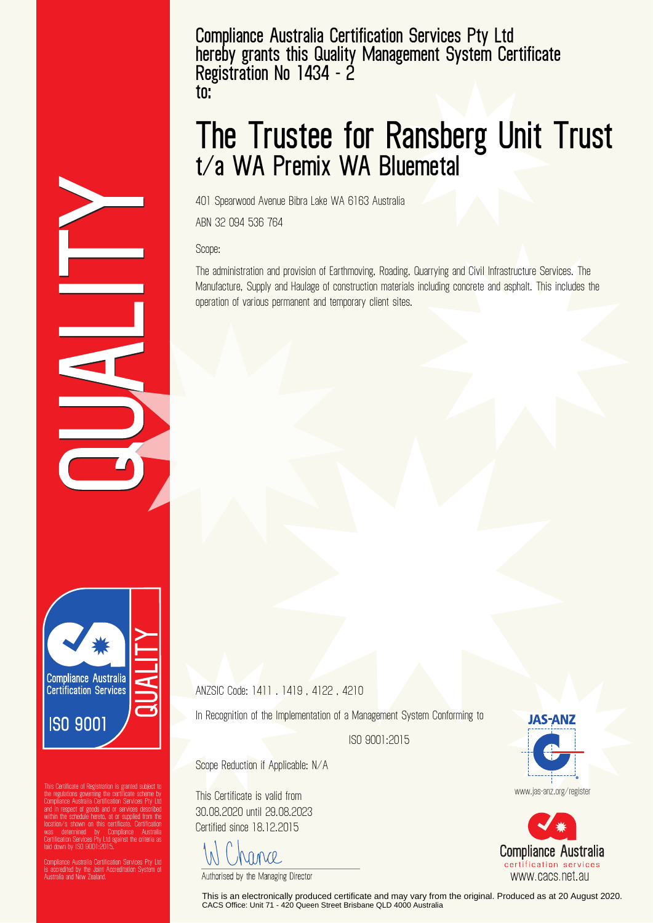**Compliance Australia Certification Services Pty Ltd hereby grants this Quality Management System Certificate Registration No 1434 - 2 to:**

## **The Trustee for Ransberg Unit Trust t/a WA Premix WA Bluemetal**

401 Spearwood Avenue Bibra Lake WA 6163 Australia

ABN 32 094 536 764

Scope:

The administration and provision of Earthmoving, Roading, Quarrying and Civil Infrastructure Services. The Manufacture, Supply and Haulage of construction materials including concrete and asphalt. This includes the operation of various permanent and temporary client sites.

**Compliance Australia Certification Services ISO 9001** 

the regulations governing the certificate scheme by Compliance Australia Certification Services Pty Ltd and in respect of goods and or services described within the schedule hereto, at or supplied from the location/s shown on this certificate. Certification was determined by Compliance Australia Certification Services Pty Ltd against the criteria as laid down by ISO 9001:2015.

Compliance Australia Certification Services Pty Ltd is accredited by the Joint Accreditation System of Australia and New Zealand.

ANZSIC Code: 1411 . 1419 , 4122 , 4210

In Recognition of the Implementation of a Management System Conforming to

ISO 9001:2015

Scope Reduction if Applicable: N/A

This Certificate is valid from 30.08.2020 until 29.08.2023 Certified since 18.12.2015

VINCE

Authorised by the Managing Director

This is an electronically produced certificate and may vary from the original. Produced as at 20 August 2020. CACS Office: Unit 71 - 420 Queen Street Brisbane QLD 4000 Australia